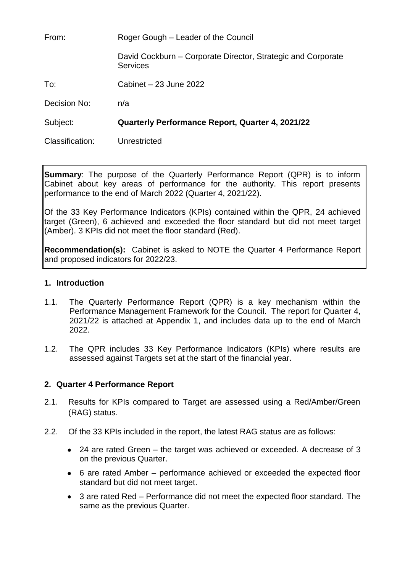From: Roger Gough – Leader of the Council David Cockburn – Corporate Director, Strategic and Corporate **Services** To: Cabinet – 23 June 2022 Decision No: n/a Subject: **Quarterly Performance Report, Quarter 4, 2021/22** Classification: Unrestricted

**Summary**: The purpose of the Quarterly Performance Report (QPR) is to inform Cabinet about key areas of performance for the authority. This report presents performance to the end of March 2022 (Quarter 4, 2021/22).

Of the 33 Key Performance Indicators (KPIs) contained within the QPR, 24 achieved target (Green), 6 achieved and exceeded the floor standard but did not meet target (Amber). 3 KPIs did not meet the floor standard (Red).

**Recommendation(s):** Cabinet is asked to NOTE the Quarter 4 Performance Report and proposed indicators for 2022/23.

### **1. Introduction**

- 1.1. The Quarterly Performance Report (QPR) is a key mechanism within the Performance Management Framework for the Council. The report for Quarter 4, 2021/22 is attached at Appendix 1, and includes data up to the end of March 2022.
- 1.2. The QPR includes 33 Key Performance Indicators (KPIs) where results are assessed against Targets set at the start of the financial year.

### **2. Quarter 4 Performance Report**

- 2.1. Results for KPIs compared to Target are assessed using a Red/Amber/Green (RAG) status.
- 2.2. Of the 33 KPIs included in the report, the latest RAG status are as follows:
	- 24 are rated Green the target was achieved or exceeded. A decrease of 3 on the previous Quarter.
	- 6 are rated Amber performance achieved or exceeded the expected floor standard but did not meet target.
	- 3 are rated Red Performance did not meet the expected floor standard. The same as the previous Quarter.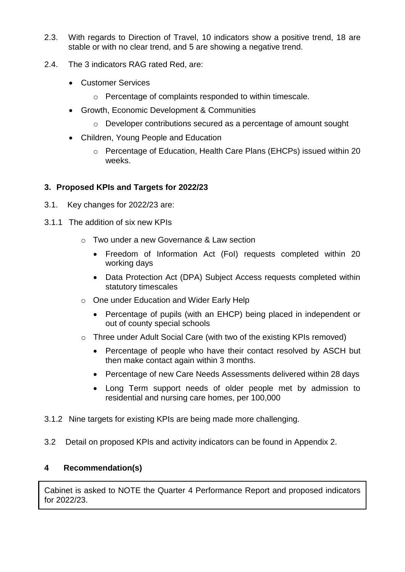- 2.3. With regards to Direction of Travel, 10 indicators show a positive trend, 18 are stable or with no clear trend, and 5 are showing a negative trend.
- 2.4. The 3 indicators RAG rated Red, are:
	- **Customer Services** 
		- o Percentage of complaints responded to within timescale.
	- Growth, Economic Development & Communities
		- o Developer contributions secured as a percentage of amount sought
	- Children, Young People and Education
		- o Percentage of Education, Health Care Plans (EHCPs) issued within 20 weeks.

## **3. Proposed KPIs and Targets for 2022/23**

- 3.1. Key changes for 2022/23 are:
- 3.1.1 The addition of six new KPIs
	- o Two under a new Governance & Law section
		- Freedom of Information Act (FoI) requests completed within 20 working days
		- Data Protection Act (DPA) Subject Access requests completed within statutory timescales
	- o One under Education and Wider Early Help
		- Percentage of pupils (with an EHCP) being placed in independent or out of county special schools
	- o Three under Adult Social Care (with two of the existing KPIs removed)
		- Percentage of people who have their contact resolved by ASCH but then make contact again within 3 months.
		- Percentage of new Care Needs Assessments delivered within 28 days
		- Long Term support needs of older people met by admission to residential and nursing care homes, per 100,000
- 3.1.2 Nine targets for existing KPIs are being made more challenging.
- 3.2 Detail on proposed KPIs and activity indicators can be found in Appendix 2.

## **4 Recommendation(s)**

Cabinet is asked to NOTE the Quarter 4 Performance Report and proposed indicators for 2022/23.